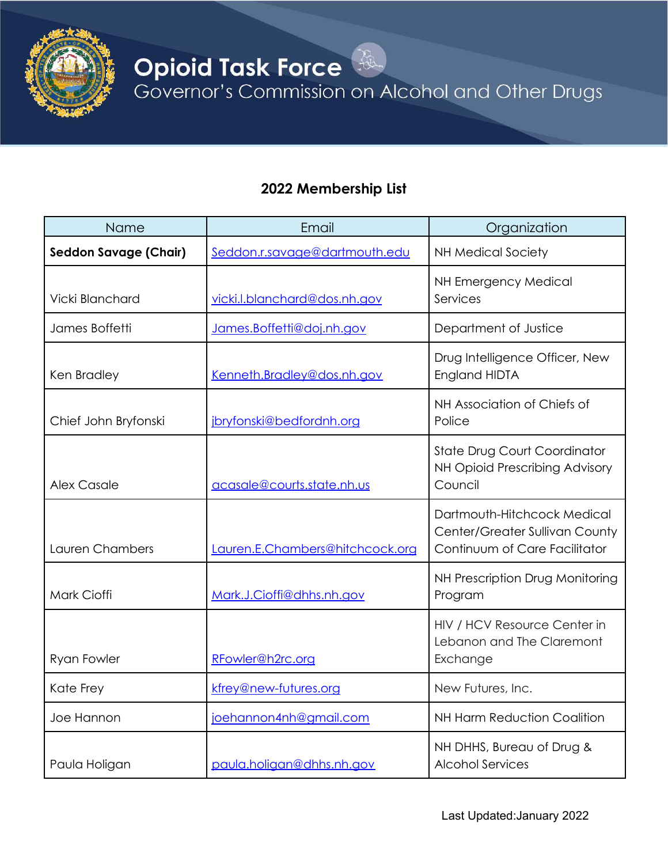

**Opioid Task Force**<br>Governor's Commission on Alcohol and Other Drugs

## **2022 Membership List**

| Name                         | Email                           | Organization                                                                                   |
|------------------------------|---------------------------------|------------------------------------------------------------------------------------------------|
| <b>Seddon Savage (Chair)</b> | Seddon.r.savage@dartmouth.edu   | <b>NH Medical Society</b>                                                                      |
| Vicki Blanchard              | vicki.l.blanchard@dos.nh.gov    | NH Emergency Medical<br>Services                                                               |
| James Boffetti               | James.Boffetti@doj.nh.gov       | Department of Justice                                                                          |
| Ken Bradley                  | Kenneth.Bradley@dos.nh.gov      | Drug Intelligence Officer, New<br>England HIDTA                                                |
| Chief John Bryfonski         | jbryfonski@bedfordnh.org        | NH Association of Chiefs of<br>Police                                                          |
| <b>Alex Casale</b>           | acasale@courts.state.nh.us      | State Drug Court Coordinator<br>NH Opioid Prescribing Advisory<br>Council                      |
| Lauren Chambers              | Lauren.E.Chambers@hitchcock.org | Dartmouth-Hitchcock Medical<br>Center/Greater Sullivan County<br>Continuum of Care Facilitator |
| Mark Cioffi                  | Mark.J.Cioffi@dhhs.nh.aov       | NH Prescription Drug Monitoring<br>Program                                                     |
| <b>Ryan Fowler</b>           | RFowler@h2rc.org                | HIV / HCV Resource Center in<br>Lebanon and The Claremont<br>Exchange                          |
| Kate Frey                    | kfrey@new-futures.org           | New Futures, Inc.                                                                              |
| Joe Hannon                   | joehannon4nh@gmail.com          | <b>NH Harm Reduction Coalition</b>                                                             |
| Paula Holigan                | paula.holigan@dhhs.nh.gov       | NH DHHS, Bureau of Drug &<br><b>Alcohol Services</b>                                           |